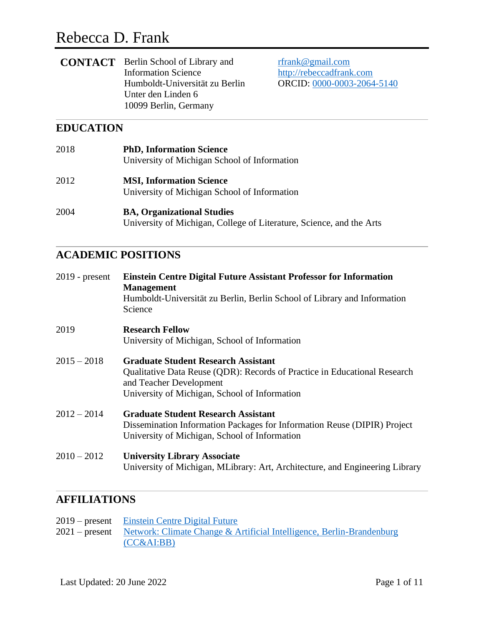# Rebecca D. Frank

| <b>CONTACT</b> Berlin School of Library and |
|---------------------------------------------|
| <b>Information Science</b>                  |
| Humboldt-Universität zu Berlin              |
| Unter den Linden 6                          |
| 10099 Berlin, Germany                       |
|                                             |

[rfrank@gmail.com](mailto:rfrank@gmail.comde) [http://rebeccadfrank.com](http://rebeccadfrank.com/) ORCID: [0000-0003-2064-5140](https://orcid.org/0000-0003-2064-5140)

# **EDUCATION**

| 2018 | <b>PhD, Information Science</b><br>University of Michigan School of Information                           |
|------|-----------------------------------------------------------------------------------------------------------|
| 2012 | <b>MSI, Information Science</b><br>University of Michigan School of Information                           |
| 2004 | <b>BA, Organizational Studies</b><br>University of Michigan, College of Literature, Science, and the Arts |

# **ACADEMIC POSITIONS**

| $2019$ - present | <b>Einstein Centre Digital Future Assistant Professor for Information</b><br><b>Management</b><br>Humboldt-Universität zu Berlin, Berlin School of Library and Information<br>Science               |
|------------------|-----------------------------------------------------------------------------------------------------------------------------------------------------------------------------------------------------|
| 2019             | <b>Research Fellow</b><br>University of Michigan, School of Information                                                                                                                             |
| $2015 - 2018$    | <b>Graduate Student Research Assistant</b><br>Qualitative Data Reuse (QDR): Records of Practice in Educational Research<br>and Teacher Development<br>University of Michigan, School of Information |
| $2012 - 2014$    | <b>Graduate Student Research Assistant</b><br>Dissemination Information Packages for Information Reuse (DIPIR) Project<br>University of Michigan, School of Information                             |
| $2010 - 2012$    | <b>University Library Associate</b><br>University of Michigan, MLibrary: Art, Architecture, and Engineering Library                                                                                 |

# **AFFILIATIONS**

| 2019 – present Einstein Centre Digital Future                                        |
|--------------------------------------------------------------------------------------|
| 2021 – present Network: Climate Change & Artificial Intelligence, Berlin-Brandenburg |
| (CC&AI:BB)                                                                           |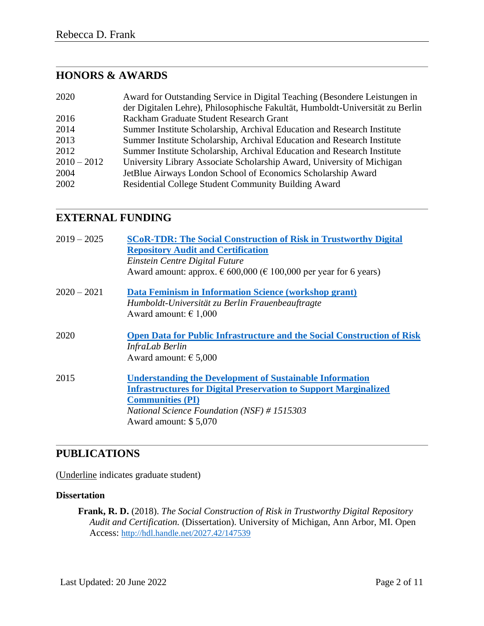# **HONORS & AWARDS**

| 2020          | Award for Outstanding Service in Digital Teaching (Besondere Leistungen in    |
|---------------|-------------------------------------------------------------------------------|
|               | der Digitalen Lehre), Philosophische Fakultät, Humboldt-Universität zu Berlin |
| 2016          | Rackham Graduate Student Research Grant                                       |
| 2014          | Summer Institute Scholarship, Archival Education and Research Institute       |
| 2013          | Summer Institute Scholarship, Archival Education and Research Institute       |
| 2012          | Summer Institute Scholarship, Archival Education and Research Institute       |
| $2010 - 2012$ | University Library Associate Scholarship Award, University of Michigan        |
| 2004          | JetBlue Airways London School of Economics Scholarship Award                  |
| 2002          | Residential College Student Community Building Award                          |

### **EXTERNAL FUNDING**

| $2019 - 2025$ | <b>SCoR-TDR: The Social Construction of Risk in Trustworthy Digital</b>             |
|---------------|-------------------------------------------------------------------------------------|
|               | <b>Repository Audit and Certification</b><br>Einstein Centre Digital Future         |
|               | Award amount: approx. $\epsilon$ 600,000 ( $\epsilon$ 100,000 per year for 6 years) |
| $2020 - 2021$ | Data Feminism in Information Science (workshop grant)                               |
|               | Humboldt-Universität zu Berlin Frauenbeauftragte                                    |
|               | Award amount: $\epsilon$ 1,000                                                      |
| 2020          | <b>Open Data for Public Infrastructure and the Social Construction of Risk</b>      |
|               | InfraLab Berlin                                                                     |
|               | Award amount: $\epsilon$ 5,000                                                      |
| 2015          | <b>Understanding the Development of Sustainable Information</b>                     |
|               | <b>Infrastructures for Digital Preservation to Support Marginalized</b>             |
|               | <b>Communities (PI)</b>                                                             |
|               | National Science Foundation (NSF) #1515303                                          |
|               | Award amount: \$5,070                                                               |
|               |                                                                                     |

# **PUBLICATIONS**

(Underline indicates graduate student)

#### **Dissertation**

**Frank, R. D.** (2018). *The Social Construction of Risk in Trustworthy Digital Repository Audit and Certification.* (Dissertation). University of Michigan, Ann Arbor, MI. Open Access: <http://hdl.handle.net/2027.42/147539>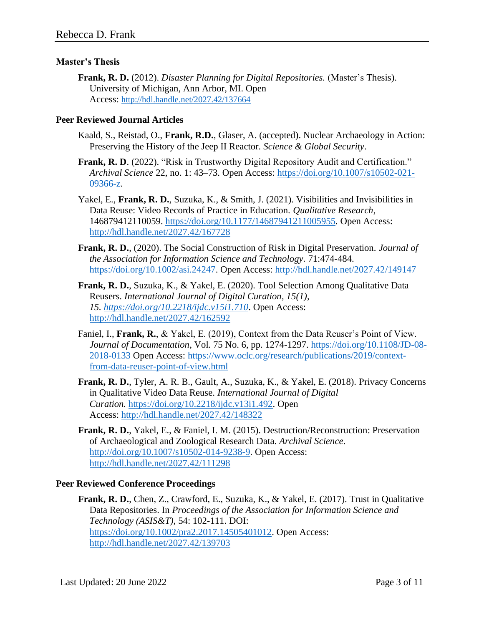#### **Master's Thesis**

**Frank, R. D.** (2012). *Disaster Planning for Digital Repositories.* (Master's Thesis). University of Michigan, Ann Arbor, MI. Open Access: <http://hdl.handle.net/2027.42/137664>

#### **Peer Reviewed Journal Articles**

- Kaald, S., Reistad, O., **Frank, R.D.**, Glaser, A. (accepted). Nuclear Archaeology in Action: Preserving the History of the Jeep II Reactor. *Science & Global Security*.
- **Frank, R. D.** (2022). "Risk in Trustworthy Digital Repository Audit and Certification." *Archival Science* 22, no. 1: 43–73. Open Access: [https://doi.org/10.1007/s10502-021-](https://doi.org/10.1007/s10502-021-09366-z) [09366-z.](https://doi.org/10.1007/s10502-021-09366-z)
- Yakel, E., **Frank, R. D.**, Suzuka, K., & Smith, J. (2021). Visibilities and Invisibilities in Data Reuse: Video Records of Practice in Education. *Qualitative Research*, 146879412110059.<https://doi.org/10.1177/14687941211005955>*.* Open Access: <http://hdl.handle.net/2027.42/167728>
- **Frank, R. D.**, (2020). The Social Construction of Risk in Digital Preservation. *Journal of the Association for Information Science and Technology.* 71:474-484. [https://doi.org/10.1002/asi.24247.](https://doi.org/10.1002/asi.24247) Open Access:<http://hdl.handle.net/2027.42/149147>
- **Frank, R. D.**, Suzuka, K., & Yakel, E. (2020)*.* Tool Selection Among Qualitative Data Reusers. *International Journal of Digital Curation, 15(1), 15. <https://doi.org/10.2218/ijdc.v15i1.710>*. Open Access: <http://hdl.handle.net/2027.42/162592>
- Faniel, I., **Frank, R.**, & Yakel, E. (2019), Context from the Data Reuser's Point of View. *Journal of Documentation*, Vol. 75 No. 6, pp. 1274-1297. [https://doi.org/10.1108/JD-08-](https://doi.org/10.1108/JD-08-2018-0133) [2018-0133](https://doi.org/10.1108/JD-08-2018-0133) Open Access: [https://www.oclc.org/research/publications/2019/context](https://www.oclc.org/research/publications/2019/context-from-data-reuser-point-of-view.html)[from-data-reuser-point-of-view.html](https://www.oclc.org/research/publications/2019/context-from-data-reuser-point-of-view.html)
- **Frank, R. D.**, Tyler, A. R. B., Gault, A., Suzuka, K., & Yakel, E. (2018). Privacy Concerns in Qualitative Video Data Reuse. *International Journal of Digital Curation.* [https://doi.org/10.2218/ijdc.v13i1.492.](https://doi.org/10.2218/ijdc.v13i1.492) Open Access: <http://hdl.handle.net/2027.42/148322>
- **Frank, R. D.**, Yakel, E., & Faniel, I. M. (2015). Destruction/Reconstruction: Preservation of Archaeological and Zoological Research Data. *Archival Science*. [http://doi.org/10.1007/s10502-014-9238-9.](http://doi.org/10.1007/s10502-014-9238-9) Open Access: <http://hdl.handle.net/2027.42/111298>

#### **Peer Reviewed Conference Proceedings**

**Frank, R. D.**, Chen, Z., Crawford, E., Suzuka, K., & Yakel, E. (2017). Trust in Qualitative Data Repositories. In *Proceedings of the Association for Information Science and Technology (ASIS&T),* 54: 102-111. DOI: [https://doi.org/10.1002/pra2.2017.14505401012.](https://doi.org/10.1002/pra2.2017.14505401012) Open Access: <http://hdl.handle.net/2027.42/139703>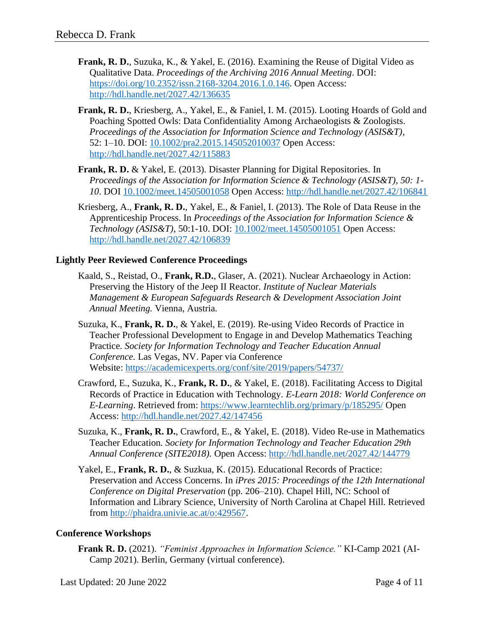- **Frank, R. D.**, Suzuka, K., & Yakel, E. (2016). Examining the Reuse of Digital Video as Qualitative Data. *Proceedings of the Archiving 2016 Annual Meeting*. DOI: [https://doi.org/10.2352/issn.2168-3204.2016.1.0.146.](https://doi.org/10.2352/issn.2168-3204.2016.1.0.146) Open Access: <http://hdl.handle.net/2027.42/136635>
- **Frank, R. D.**, Kriesberg, A., Yakel, E., & Faniel, I. M. (2015). Looting Hoards of Gold and Poaching Spotted Owls: Data Confidentiality Among Archaeologists & Zoologists. *Proceedings of the Association for Information Science and Technology (ASIS&T)*, 52: 1–10. DOI: [10.1002/pra2.2015.145052010037](http://onlinelibrary.wiley.com/doi/10.1002/pra2.2015.145052010037/full) Open Access: <http://hdl.handle.net/2027.42/115883>
- **Frank, R. D.** & Yakel, E. (2013). Disaster Planning for Digital Repositories*.* In *Proceedings of the Association for Information Science & Technology (ASIS&T), 50: 1- 10*. DOI [10.1002/meet.14505001058](http://onlinelibrary.wiley.com/doi/10.1002/meet.14505001058/abstract) Open Access: <http://hdl.handle.net/2027.42/106841>
- Kriesberg, A., **Frank, R. D.**, Yakel, E., & Faniel, I. (2013). The Role of Data Reuse in the Apprenticeship Process. In *Proceedings of the Association for Information Science & Technology (ASIS&T)*, 50:1-10. DOI: [10.1002/meet.14505001051](https://doi.org/10.1002/meet.14505001051) Open Access: <http://hdl.handle.net/2027.42/106839>

#### **Lightly Peer Reviewed Conference Proceedings**

- Kaald, S., Reistad, O., **Frank, R.D.**, Glaser, A. (2021). Nuclear Archaeology in Action: Preserving the History of the Jeep II Reactor. *Institute of Nuclear Materials Management & European Safeguards Research & Development Association Joint Annual Meeting.* Vienna, Austria.
- Suzuka, K., **Frank, R. D.**, & Yakel, E. (2019). Re-using Video Records of Practice in Teacher Professional Development to Engage in and Develop Mathematics Teaching Practice. *Society for Information Technology and Teacher Education Annual Conference*. Las Vegas, NV. Paper via Conference Website: <https://academicexperts.org/conf/site/2019/papers/54737/>
- Crawford, E., Suzuka, K., **Frank, R. D.**, & Yakel, E. (2018). Facilitating Access to Digital Records of Practice in Education with Technology. *E-Learn 2018: World Conference on E-Learning*. Retrieved from:<https://www.learntechlib.org/primary/p/185295/> Open Access: <http://hdl.handle.net/2027.42/147456>
- Suzuka, K., **Frank, R. D.**, Crawford, E., & Yakel, E. (2018). Video Re-use in Mathematics Teacher Education*. Society for Information Technology and Teacher Education 29th Annual Conference (SITE2018).* Open Access:<http://hdl.handle.net/2027.42/144779>
- Yakel, E., **Frank, R. D.**, & Suzkua, K. (2015). Educational Records of Practice: Preservation and Access Concerns. In *iPres 2015: Proceedings of the 12th International Conference on Digital Preservation* (pp. 206–210). Chapel Hill, NC: School of Information and Library Science, University of North Carolina at Chapel Hill. Retrieved from [http://phaidra.univie.ac.at/o:429567.](http://phaidra.univie.ac.at/o:429567)

#### **Conference Workshops**

**Frank R. D.** (2021). *"Feminist Approaches in Information Science."* KI-Camp 2021 (AI-Camp 2021). Berlin, Germany (virtual conference).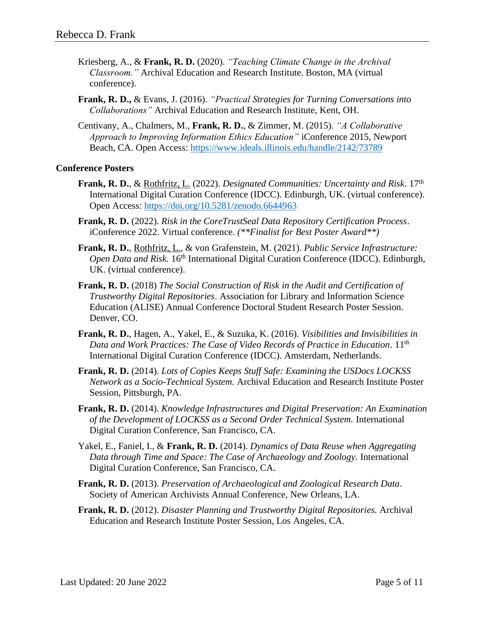- Kriesberg, A., & **Frank, R. D.** (2020). *"Teaching Climate Change in the Archival Classroom."* Archival Education and Research Institute. Boston, MA (virtual conference).
- **Frank, R. D.,** & Evans, J. (2016). *"Practical Strategies for Turning Conversations into Collaborations"* Archival Education and Research Institute, Kent, OH.
- Centivany, A., Chalmers, M., **Frank, R. D.**, & Zimmer, M. (2015). *"A Collaborative Approach to Improving Information Ethics Education"* iConference 2015, Newport Beach, CA. Open Access:<https://www.ideals.illinois.edu/handle/2142/73789>

#### **Conference Posters**

- **Frank, R. D.**, & Rothfritz, L. (2022). *Designated Communities: Uncertainty and Risk*. 17th International Digital Curation Conference (IDCC). Edinburgh, UK. (virtual conference). Open Access:<https://doi.org/10.5281/zenodo.6644963>
- **Frank, R. D.** (2022). *Risk in the CoreTrustSeal Data Repository Certification Process*. iConference 2022. Virtual conference. *(\*\*Finalist for Best Poster Award\*\*)*
- **Frank, R. D.**, Rothfritz, L., & von Grafenstein, M. (2021). *Public Service Infrastructure: Open Data and Risk.* 16<sup>th</sup> International Digital Curation Conference (IDCC). Edinburgh, UK. (virtual conference).
- **Frank, R. D.** (2018) *The Social Construction of Risk in the Audit and Certification of Trustworthy Digital Repositories*. Association for Library and Information Science Education (ALISE) Annual Conference Doctoral Student Research Poster Session. Denver, CO.
- **Frank, R. D.**, Hagen, A., Yakel, E., & Suzuka, K. (2016). *Visibilities and Invisibilities in Data and Work Practices: The Case of Video Records of Practice in Education*. 11th International Digital Curation Conference (IDCC). Amsterdam, Netherlands.
- **Frank, R. D.** (2014). *Lots of Copies Keeps Stuff Safe: Examining the USDocs LOCKSS Network as a Socio-Technical System.* Archival Education and Research Institute Poster Session, Pittsburgh, PA.
- **Frank, R. D.** (2014). *Knowledge Infrastructures and Digital Preservation: An Examination of the Development of LOCKSS as a Second Order Technical System.* International Digital Curation Conference, San Francisco, CA.
- Yakel, E., Faniel, I., & **Frank, R. D.** (2014). *Dynamics of Data Reuse when Aggregating Data through Time and Space: The Case of Archaeology and Zoology.* International Digital Curation Conference, San Francisco, CA.
- **Frank, R. D.** (2013). *Preservation of Archaeological and Zoological Research Data*. Society of American Archivists Annual Conference, New Orleans, LA.
- **Frank, R. D.** (2012). *Disaster Planning and Trustworthy Digital Repositories.* Archival Education and Research Institute Poster Session, Los Angeles, CA.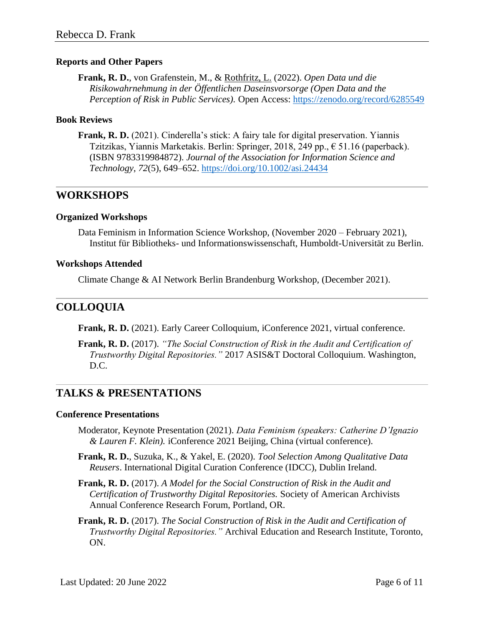#### **Reports and Other Papers**

**Frank, R. D.**, von Grafenstein, M., & Rothfritz, L. (2022). *Open Data und die Risikowahrnehmung in der Öffentlichen Daseinsvorsorge (Open Data and the Perception of Risk in Public Services).* Open Access:<https://zenodo.org/record/6285549>

#### **Book Reviews**

**Frank, R. D.** (2021). Cinderella's stick: A fairy tale for digital preservation. Yiannis Tzitzikas, Yiannis Marketakis. Berlin: Springer, 2018, 249 pp., € 51.16 (paperback). (ISBN 9783319984872). *Journal of the Association for Information Science and Technology*, *72*(5), 649–652.<https://doi.org/10.1002/asi.24434>

### **WORKSHOPS**

#### **Organized Workshops**

Data Feminism in Information Science Workshop, (November 2020 – February 2021), Institut für Bibliotheks- und Informationswissenschaft, Humboldt-Universität zu Berlin.

#### **Workshops Attended**

Climate Change & AI Network Berlin Brandenburg Workshop, (December 2021).

## **COLLOQUIA**

**Frank, R. D.** (2021). Early Career Colloquium, iConference 2021, virtual conference.

**Frank, R. D.** (2017). *"The Social Construction of Risk in the Audit and Certification of Trustworthy Digital Repositories."* 2017 ASIS&T Doctoral Colloquium. Washington, D.C.

## **TALKS & PRESENTATIONS**

#### **Conference Presentations**

- Moderator, Keynote Presentation (2021). *Data Feminism (speakers: Catherine D'Ignazio & Lauren F. Klein).* iConference 2021 Beijing, China (virtual conference).
- **Frank, R. D.**, Suzuka, K., & Yakel, E. (2020)*. Tool Selection Among Qualitative Data Reusers*. International Digital Curation Conference (IDCC), Dublin Ireland.
- **Frank, R. D.** (2017). *A Model for the Social Construction of Risk in the Audit and Certification of Trustworthy Digital Repositories.* Society of American Archivists Annual Conference Research Forum, Portland, OR.
- **Frank, R. D.** (2017). *The Social Construction of Risk in the Audit and Certification of Trustworthy Digital Repositories."* Archival Education and Research Institute, Toronto, ON.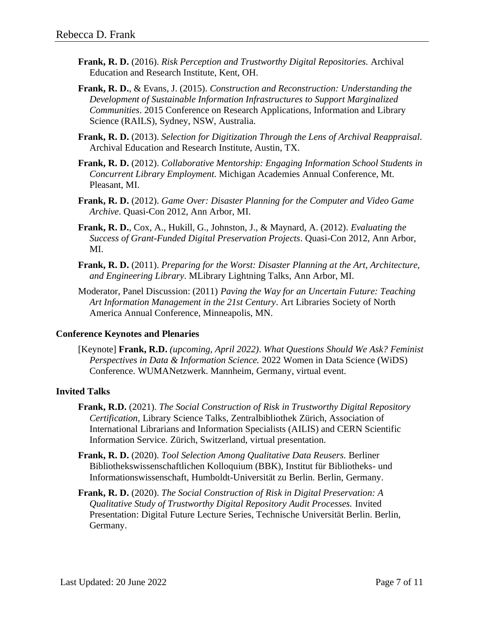- **Frank, R. D.** (2016). *Risk Perception and Trustworthy Digital Repositories.* Archival Education and Research Institute, Kent, OH.
- **Frank, R. D.**, & Evans, J. (2015). *Construction and Reconstruction: Understanding the Development of Sustainable Information Infrastructures to Support Marginalized Communities*. 2015 Conference on Research Applications, Information and Library Science (RAILS), Sydney, NSW, Australia.
- **Frank, R. D.** (2013). *Selection for Digitization Through the Lens of Archival Reappraisal.*  Archival Education and Research Institute, Austin, TX.
- **Frank, R. D.** (2012). *Collaborative Mentorship: Engaging Information School Students in Concurrent Library Employment.* Michigan Academies Annual Conference, Mt. Pleasant, MI.
- **Frank, R. D.** (2012). *Game Over: Disaster Planning for the Computer and Video Game Archive*. Quasi-Con 2012, Ann Arbor, MI.
- **Frank, R. D.**, Cox, A., Hukill, G., Johnston, J., & Maynard, A. (2012). *Evaluating the Success of Grant-Funded Digital Preservation Projects*. Quasi-Con 2012, Ann Arbor, MI.
- **Frank, R. D.** (2011). *Preparing for the Worst: Disaster Planning at the Art, Architecture, and Engineering Library*. MLibrary Lightning Talks, Ann Arbor, MI.
- Moderator, Panel Discussion: (2011) *Paving the Way for an Uncertain Future: Teaching Art Information Management in the 21st Century*. Art Libraries Society of North America Annual Conference, Minneapolis, MN.

#### **Conference Keynotes and Plenaries**

[Keynote] **Frank, R.D.** *(upcoming, April 2022)*. *What Questions Should We Ask? Feminist Perspectives in Data & Information Science.* 2022 Women in Data Science (WiDS) Conference. WUMANetzwerk. Mannheim, Germany, virtual event.

#### **Invited Talks**

- **Frank, R.D.** (2021). *The Social Construction of Risk in Trustworthy Digital Repository Certification,* Library Science Talks, Zentralbibliothek Zürich, Association of International Librarians and Information Specialists (AILIS) and CERN Scientific Information Service. Zürich, Switzerland, virtual presentation.
- **Frank, R. D.** (2020). *Tool Selection Among Qualitative Data Reusers.* Berliner Bibliothekswissenschaftlichen Kolloquium (BBK), Institut für Bibliotheks- und Informationswissenschaft, Humboldt-Universität zu Berlin. Berlin, Germany.
- **Frank, R. D.** (2020). *The Social Construction of Risk in Digital Preservation: A Qualitative Study of Trustworthy Digital Repository Audit Processes.* Invited Presentation: Digital Future Lecture Series, Technische Universität Berlin. Berlin, Germany.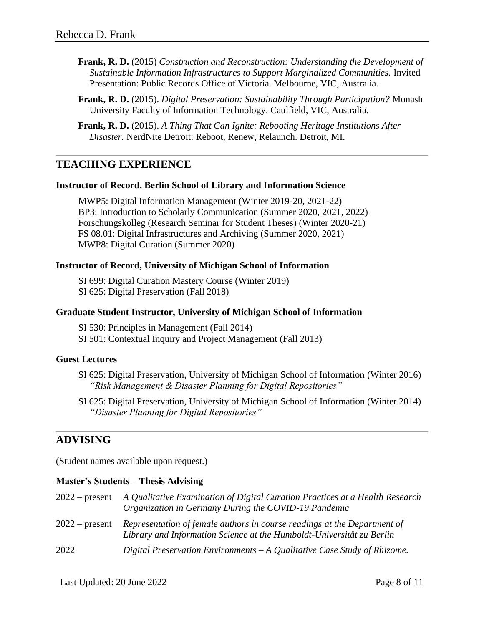- **Frank, R. D.** (2015) *Construction and Reconstruction: Understanding the Development of Sustainable Information Infrastructures to Support Marginalized Communities.* Invited Presentation: Public Records Office of Victoria. Melbourne, VIC, Australia.
- **Frank, R. D.** (2015). *Digital Preservation: Sustainability Through Participation?* Monash University Faculty of Information Technology. Caulfield, VIC, Australia.
- **Frank, R. D.** (2015). *A Thing That Can Ignite: Rebooting Heritage Institutions After Disaster.* NerdNite Detroit: Reboot, Renew, Relaunch. Detroit, MI.

### **TEACHING EXPERIENCE**

#### **Instructor of Record, Berlin School of Library and Information Science**

MWP5: Digital Information Management (Winter 2019-20, 2021-22) BP3: Introduction to Scholarly Communication (Summer 2020, 2021, 2022) Forschungskolleg (Research Seminar for Student Theses) (Winter 2020-21) FS 08.01: Digital Infrastructures and Archiving (Summer 2020, 2021) MWP8: Digital Curation (Summer 2020)

#### **Instructor of Record, University of Michigan School of Information**

SI 699: Digital Curation Mastery Course (Winter 2019) SI 625: Digital Preservation (Fall 2018)

#### **Graduate Student Instructor, University of Michigan School of Information**

SI 530: Principles in Management (Fall 2014) SI 501: Contextual Inquiry and Project Management (Fall 2013)

#### **Guest Lectures**

- SI 625: Digital Preservation, University of Michigan School of Information (Winter 2016) *"Risk Management & Disaster Planning for Digital Repositories"*
- SI 625: Digital Preservation, University of Michigan School of Information (Winter 2014) *"Disaster Planning for Digital Repositories"*

#### **ADVISING**

(Student names available upon request.)

#### **Master's Students – Thesis Advising**

| $2022 - present$ | A Qualitative Examination of Digital Curation Practices at a Health Research<br>Organization in Germany During the COVID-19 Pandemic              |
|------------------|---------------------------------------------------------------------------------------------------------------------------------------------------|
| $2022$ – present | Representation of female authors in course readings at the Department of<br>Library and Information Science at the Humboldt-Universität zu Berlin |
| 2022             | Digital Preservation Environments $-A$ Qualitative Case Study of Rhizome.                                                                         |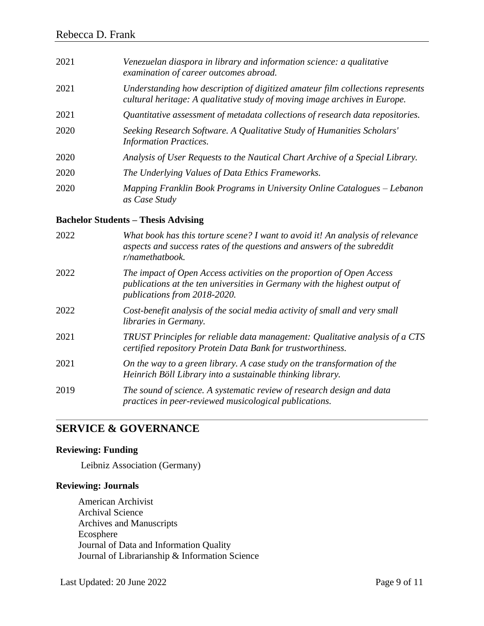| 2021 | Venezuelan diaspora in library and information science: a qualitative<br>examination of career outcomes abroad.                                              |
|------|--------------------------------------------------------------------------------------------------------------------------------------------------------------|
| 2021 | Understanding how description of digitized amateur film collections represents<br>cultural heritage: A qualitative study of moving image archives in Europe. |
| 2021 | Quantitative assessment of metadata collections of research data repositories.                                                                               |
| 2020 | Seeking Research Software. A Qualitative Study of Humanities Scholars'<br><b>Information Practices.</b>                                                      |
| 2020 | Analysis of User Requests to the Nautical Chart Archive of a Special Library.                                                                                |
| 2020 | The Underlying Values of Data Ethics Frameworks.                                                                                                             |
| 2020 | Mapping Franklin Book Programs in University Online Catalogues – Lebanon<br>as Case Study                                                                    |

#### **Bachelor Students – Thesis Advising**

| 2022 | What book has this torture scene? I want to avoid it! An analysis of relevance<br>aspects and success rates of the questions and answers of the subreddit<br>r/namethatbook.        |
|------|-------------------------------------------------------------------------------------------------------------------------------------------------------------------------------------|
| 2022 | The impact of Open Access activities on the proportion of Open Access<br>publications at the ten universities in Germany with the highest output of<br>publications from 2018-2020. |
| 2022 | Cost-benefit analysis of the social media activity of small and very small<br>libraries in Germany.                                                                                 |
| 2021 | TRUST Principles for reliable data management: Qualitative analysis of a CTS<br>certified repository Protein Data Bank for trustworthiness.                                         |
| 2021 | On the way to a green library. A case study on the transformation of the<br>Heinrich Böll Library into a sustainable thinking library.                                              |
| 2019 | The sound of science. A systematic review of research design and data<br>practices in peer-reviewed musicological publications.                                                     |

### **SERVICE & GOVERNANCE**

### **Reviewing: Funding**

Leibniz Association (Germany)

#### **Reviewing: Journals**

American Archivist Archival Science Archives and Manuscripts Ecosphere Journal of Data and Information Quality Journal of Librarianship & Information Science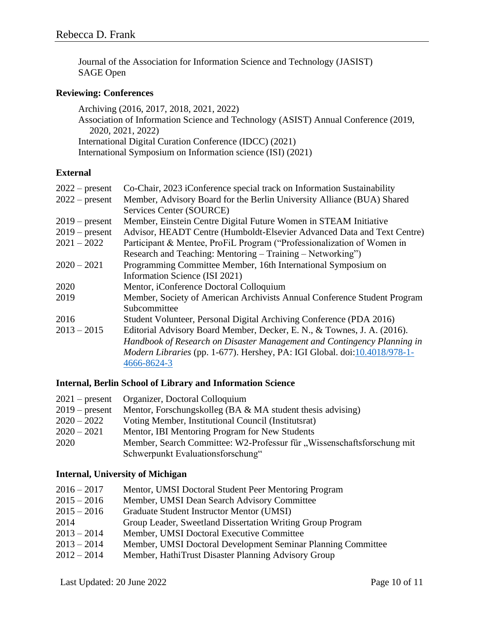Journal of the Association for Information Science and Technology (JASIST) SAGE Open

#### **Reviewing: Conferences**

Archiving (2016, 2017, 2018, 2021, 2022) Association of Information Science and Technology (ASIST) Annual Conference (2019, 2020, 2021, 2022) International Digital Curation Conference (IDCC) (2021) International Symposium on Information science (ISI) (2021)

#### **External**

| $2022$ – present | Co-Chair, 2023 iConference special track on Information Sustainability    |
|------------------|---------------------------------------------------------------------------|
| $2022$ – present | Member, Advisory Board for the Berlin University Alliance (BUA) Shared    |
|                  | Services Center (SOURCE)                                                  |
| $2019$ – present | Member, Einstein Centre Digital Future Women in STEAM Initiative          |
| $2019$ – present | Advisor, HEADT Centre (Humboldt-Elsevier Advanced Data and Text Centre)   |
| $2021 - 2022$    | Participant & Mentee, ProFiL Program ("Professionalization of Women in    |
|                  | Research and Teaching: Mentoring – Training – Networking")                |
| $2020 - 2021$    | Programming Committee Member, 16th International Symposium on             |
|                  | Information Science (ISI 2021)                                            |
| 2020             | Mentor, iConference Doctoral Colloquium                                   |
| 2019             | Member, Society of American Archivists Annual Conference Student Program  |
|                  | Subcommittee                                                              |
| 2016             | Student Volunteer, Personal Digital Archiving Conference (PDA 2016)       |
| $2013 - 2015$    | Editorial Advisory Board Member, Decker, E. N., & Townes, J. A. (2016).   |
|                  | Handbook of Research on Disaster Management and Contingency Planning in   |
|                  | Modern Libraries (pp. 1-677). Hershey, PA: IGI Global. doi:10.4018/978-1- |
|                  | 4666-8624-3                                                               |
|                  |                                                                           |

#### **Internal, Berlin School of Library and Information Science**

|                  | 2021 – present Organizer, Doctoral Colloquium                          |
|------------------|------------------------------------------------------------------------|
| $2019$ – present | Mentor, Forschungskolleg (BA $\&$ MA student thesis advising)          |
| $2020 - 2022$    | Voting Member, Institutional Council (Institutsrat)                    |
| $2020 - 2021$    | Mentor, IBI Mentoring Program for New Students                         |
| 2020             | Member, Search Committee: W2-Professur für "Wissenschaftsforschung mit |
|                  | Schwerpunkt Evaluationsforschung"                                      |

#### **Internal, University of Michigan**

| $2016 - 2017$ | Mentor, UMSI Doctoral Student Peer Mentoring Program         |
|---------------|--------------------------------------------------------------|
| $2015 - 2016$ | Member, UMSI Dean Search Advisory Committee                  |
| $2015 - 2016$ | Graduate Student Instructor Mentor (UMSI)                    |
| 2014          | Group Leader, Sweetland Dissertation Writing Group Program   |
| $2013 - 2014$ | Member, UMSI Doctoral Executive Committee                    |
| $2013 - 2014$ | Member, UMSI Doctoral Development Seminar Planning Committee |
| $2012 - 2014$ | Member, HathiTrust Disaster Planning Advisory Group          |